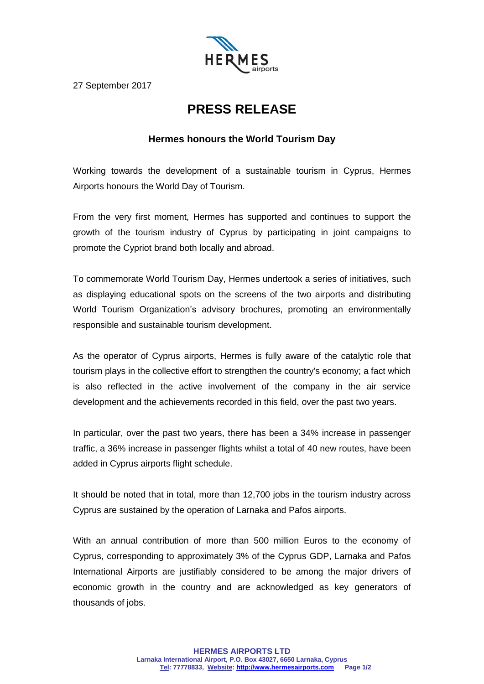

27 September 2017

## **PRESS RELEASE**

## **Hermes honours the World Tourism Day**

Working towards the development of a sustainable tourism in Cyprus, Hermes Airports honours the World Day of Tourism.

From the very first moment, Hermes has supported and continues to support the growth of the tourism industry of Cyprus by participating in joint campaigns to promote the Cypriot brand both locally and abroad.

To commemorate World Tourism Day, Hermes undertook a series of initiatives, such as displaying educational spots on the screens of the two airports and distributing World Tourism Organization's advisory brochures, promoting an environmentally responsible and sustainable tourism development.

As the operator of Cyprus airports, Hermes is fully aware of the catalytic role that tourism plays in the collective effort to strengthen the country's economy; a fact which is also reflected in the active involvement of the company in the air service development and the achievements recorded in this field, over the past two years.

In particular, over the past two years, there has been a 34% increase in passenger traffic, a 36% increase in passenger flights whilst a total of 40 new routes, have been added in Cyprus airports flight schedule.

It should be noted that in total, more than 12,700 jobs in the tourism industry across Cyprus are sustained by the operation of Larnaka and Pafos airports.

With an annual contribution of more than 500 million Euros to the economy of Cyprus, corresponding to approximately 3% of the Cyprus GDP, Larnaka and Pafos International Airports are justifiably considered to be among the major drivers of economic growth in the country and are acknowledged as key generators of thousands of jobs.